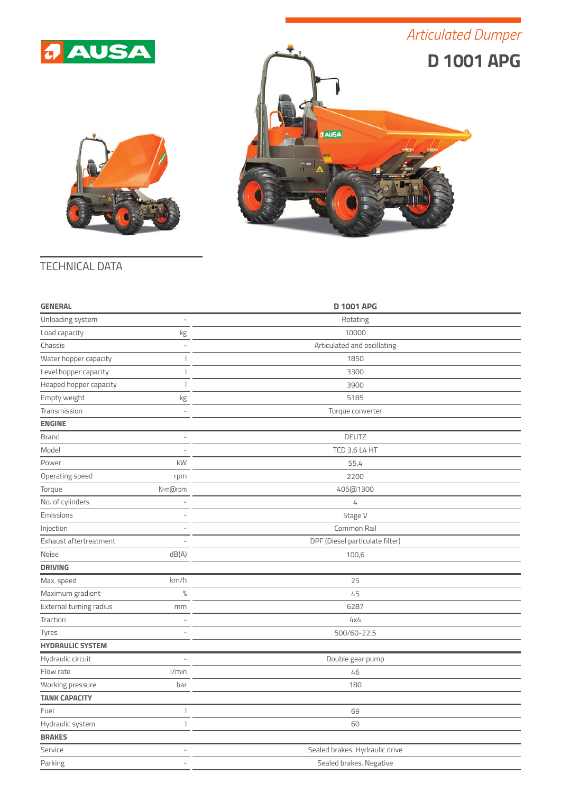## *a* AUSA

## *Articulated Dumper*





## TECHNICAL DATA

| <b>GENERAL</b>          |                          | <b>D 1001 APG</b>               |
|-------------------------|--------------------------|---------------------------------|
| Unloading system        | ÷,                       | Rotating                        |
| Load capacity           | $\mathsf{kg}$            | 10000                           |
| Chassis                 | $\frac{1}{2}$            | Articulated and oscillating     |
| Water hopper capacity   | $\overline{\phantom{a}}$ | 1850                            |
| Level hopper capacity   | $\overline{\phantom{a}}$ | 3300                            |
| Heaped hopper capacity  | I                        | 3900                            |
| Empty weight            | kg                       | 5185                            |
| Transmission            | $\overline{\phantom{a}}$ | Torque converter                |
| <b>ENGINE</b>           |                          |                                 |
| <b>Brand</b>            | $\overline{a}$           | <b>DEUTZ</b>                    |
| Model                   |                          | <b>TCD 3.6 L4 HT</b>            |
| Power                   | kW                       | 55,4                            |
| Operating speed         | rpm                      | 2200                            |
| Torque                  | N·m@rpm                  | 405@1300                        |
| No. of cylinders        | $\qquad \qquad -$        | $\mathcal{L}_{\! +}$            |
| Emissions               | $\overline{a}$           | Stage V                         |
| Injection               | ٠                        | Common Rail                     |
| Exhaust aftertreatment  |                          | DPF (Diesel particulate filter) |
| Noise                   | dB(A)                    | 100,6                           |
| <b>DRIVING</b>          |                          |                                 |
| Max. speed              | km/h                     | 25                              |
| Maximum gradient        | $\frac{0}{0}$            | 45                              |
| External turning radius | mm                       | 6287                            |
| Traction                | ÷.                       | 4x4                             |
| Tyres                   |                          | 500/60-22.5                     |
| <b>HYDRAULIC SYSTEM</b> |                          |                                 |
| Hydraulic circuit       | L,                       | Double gear pump                |
| Flow rate               | l/min                    | 46                              |
| Working pressure        | bar                      | 180                             |
| <b>TANK CAPACITY</b>    |                          |                                 |
| Fuel                    | $\overline{\phantom{a}}$ | 69                              |
| Hydraulic system        | $\overline{\phantom{a}}$ | 60                              |
| <b>BRAKES</b>           |                          |                                 |
| Service                 | ÷,                       | Sealed brakes. Hydraulic drive  |
| Parking                 | ÷,                       | Sealed brakes. Negative         |